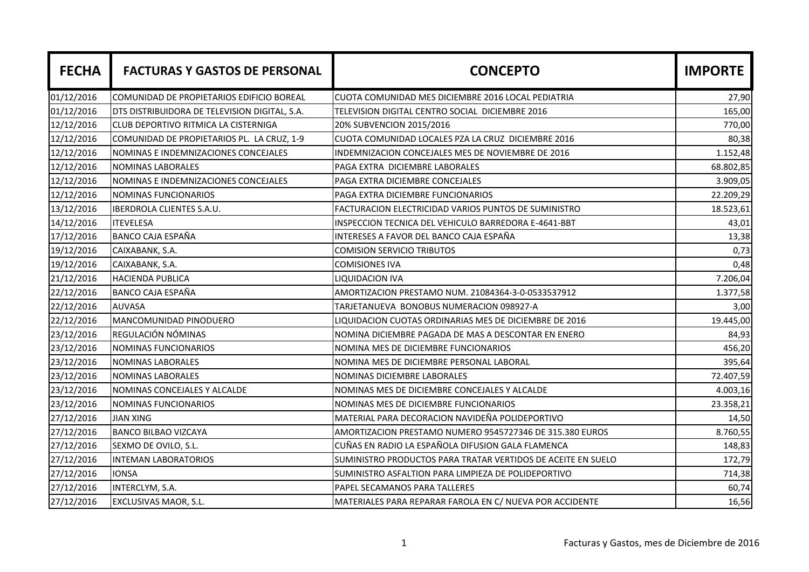| <b>FECHA</b> | <b>FACTURAS Y GASTOS DE PERSONAL</b>          | <b>CONCEPTO</b>                                              | <b>IMPORTE</b> |
|--------------|-----------------------------------------------|--------------------------------------------------------------|----------------|
| 01/12/2016   | COMUNIDAD DE PROPIETARIOS EDIFICIO BOREAL     | CUOTA COMUNIDAD MES DICIEMBRE 2016 LOCAL PEDIATRIA           | 27,90          |
| 01/12/2016   | DTS DISTRIBUIDORA DE TELEVISION DIGITAL, S.A. | TELEVISION DIGITAL CENTRO SOCIAL DICIEMBRE 2016              | 165,00         |
| 12/12/2016   | CLUB DEPORTIVO RITMICA LA CISTERNIGA          | 20% SUBVENCION 2015/2016                                     | 770,00         |
| 12/12/2016   | COMUNIDAD DE PROPIETARIOS PL. LA CRUZ, 1-9    | CUOTA COMUNIDAD LOCALES PZA LA CRUZ DICIEMBRE 2016           | 80,38          |
| 12/12/2016   | NOMINAS E INDEMNIZACIONES CONCEJALES          | INDEMNIZACION CONCEJALES MES DE NOVIEMBRE DE 2016            | 1.152,48       |
| 12/12/2016   | <b>NOMINAS LABORALES</b>                      | PAGA EXTRA DICIEMBRE LABORALES                               | 68.802,85      |
| 12/12/2016   | NOMINAS E INDEMNIZACIONES CONCEJALES          | PAGA EXTRA DICIEMBRE CONCEJALES                              | 3.909,05       |
| 12/12/2016   | NOMINAS FUNCIONARIOS                          | PAGA EXTRA DICIEMBRE FUNCIONARIOS                            | 22.209,29      |
| 13/12/2016   | <b>IBERDROLA CLIENTES S.A.U.</b>              | FACTURACION ELECTRICIDAD VARIOS PUNTOS DE SUMINISTRO         | 18.523,61      |
| 14/12/2016   | <b>ITEVELESA</b>                              | INSPECCION TECNICA DEL VEHICULO BARREDORA E-4641-BBT         | 43,01          |
| 17/12/2016   | <b>BANCO CAJA ESPAÑA</b>                      | INTERESES A FAVOR DEL BANCO CAJA ESPAÑA                      | 13,38          |
| 19/12/2016   | CAIXABANK, S.A.                               | <b>COMISION SERVICIO TRIBUTOS</b>                            | 0,73           |
| 19/12/2016   | CAIXABANK, S.A.                               | <b>COMISIONES IVA</b>                                        | 0,48           |
| 21/12/2016   | <b>HACIENDA PUBLICA</b>                       | <b>LIQUIDACION IVA</b>                                       | 7.206,04       |
| 22/12/2016   | <b>BANCO CAJA ESPAÑA</b>                      | AMORTIZACION PRESTAMO NUM. 21084364-3-0-0533537912           | 1.377,58       |
| 22/12/2016   | <b>AUVASA</b>                                 | TARJETANUEVA BONOBUS NUMERACION 098927-A                     | 3,00           |
| 22/12/2016   | MANCOMUNIDAD PINODUERO                        | LIQUIDACION CUOTAS ORDINARIAS MES DE DICIEMBRE DE 2016       | 19.445,00      |
| 23/12/2016   | REGULACIÓN NÓMINAS                            | NOMINA DICIEMBRE PAGADA DE MAS A DESCONTAR EN ENERO          | 84,93          |
| 23/12/2016   | NOMINAS FUNCIONARIOS                          | NOMINA MES DE DICIEMBRE FUNCIONARIOS                         | 456,20         |
| 23/12/2016   | <b>NOMINAS LABORALES</b>                      | NOMINA MES DE DICIEMBRE PERSONAL LABORAL                     | 395,64         |
| 23/12/2016   | <b>NOMINAS LABORALES</b>                      | NOMINAS DICIEMBRE LABORALES                                  | 72.407,59      |
| 23/12/2016   | NOMINAS CONCEJALES Y ALCALDE                  | NOMINAS MES DE DICIEMBRE CONCEJALES Y ALCALDE                | 4.003,16       |
| 23/12/2016   | NOMINAS FUNCIONARIOS                          | NOMINAS MES DE DICIEMBRE FUNCIONARIOS                        | 23.358,21      |
| 27/12/2016   | <b>JIAN XING</b>                              | MATERIAL PARA DECORACION NAVIDEÑA POLIDEPORTIVO              | 14,50          |
| 27/12/2016   | <b>BANCO BILBAO VIZCAYA</b>                   | AMORTIZACION PRESTAMO NUMERO 9545727346 DE 315.380 EUROS     | 8.760,55       |
| 27/12/2016   | SEXMO DE OVILO, S.L.                          | CUÑAS EN RADIO LA ESPAÑOLA DIFUSION GALA FLAMENCA            | 148,83         |
| 27/12/2016   | <b>INTEMAN LABORATORIOS</b>                   | SUMINISTRO PRODUCTOS PARA TRATAR VERTIDOS DE ACEITE EN SUELO | 172,79         |
| 27/12/2016   | <b>IONSA</b>                                  | SUMINISTRO ASFALTION PARA LIMPIEZA DE POLIDEPORTIVO          | 714,38         |
| 27/12/2016   | INTERCLYM, S.A.                               | PAPEL SECAMANOS PARA TALLERES                                | 60,74          |
| 27/12/2016   | EXCLUSIVAS MAOR, S.L.                         | MATERIALES PARA REPARAR FAROLA EN C/ NUEVA POR ACCIDENTE     | 16,56          |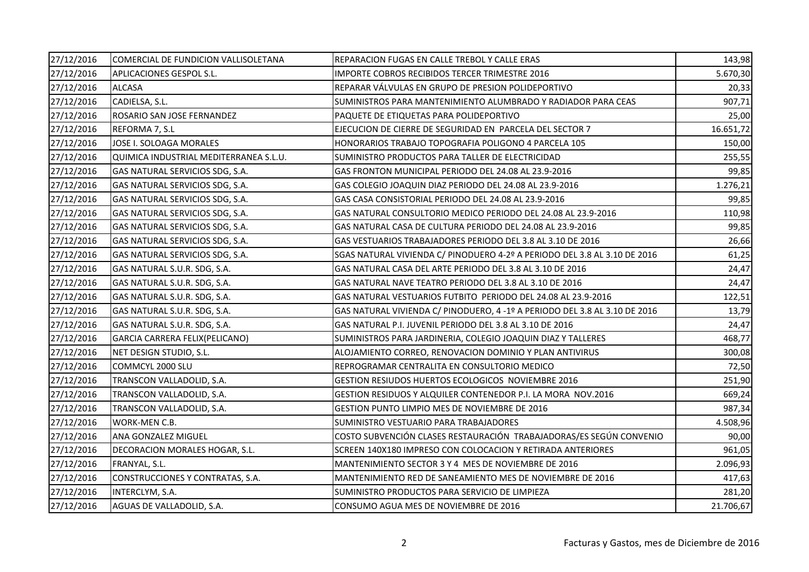| 27/12/2016 | COMERCIAL DE FUNDICION VALLISOLETANA   | REPARACION FUGAS EN CALLE TREBOL Y CALLE ERAS                              | 143,98    |
|------------|----------------------------------------|----------------------------------------------------------------------------|-----------|
| 27/12/2016 | APLICACIONES GESPOL S.L.               | IMPORTE COBROS RECIBIDOS TERCER TRIMESTRE 2016                             | 5.670,30  |
| 27/12/2016 | <b>ALCASA</b>                          | REPARAR VÁLVULAS EN GRUPO DE PRESION POLIDEPORTIVO                         | 20,33     |
| 27/12/2016 | CADIELSA, S.L.                         | SUMINISTROS PARA MANTENIMIENTO ALUMBRADO Y RADIADOR PARA CEAS              | 907,71    |
| 27/12/2016 | ROSARIO SAN JOSE FERNANDEZ             | PAQUETE DE ETIQUETAS PARA POLIDEPORTIVO                                    | 25,00     |
| 27/12/2016 | REFORMA 7, S.L                         | EJECUCION DE CIERRE DE SEGURIDAD EN PARCELA DEL SECTOR 7                   | 16.651,72 |
| 27/12/2016 | JOSE I. SOLOAGA MORALES                | HONORARIOS TRABAJO TOPOGRAFIA POLIGONO 4 PARCELA 105                       | 150,00    |
| 27/12/2016 | QUIMICA INDUSTRIAL MEDITERRANEA S.L.U. | SUMINISTRO PRODUCTOS PARA TALLER DE ELECTRICIDAD                           | 255,55    |
| 27/12/2016 | GAS NATURAL SERVICIOS SDG, S.A.        | GAS FRONTON MUNICIPAL PERIODO DEL 24.08 AL 23.9-2016                       | 99,85     |
| 27/12/2016 | GAS NATURAL SERVICIOS SDG, S.A.        | GAS COLEGIO JOAQUIN DIAZ PERIODO DEL 24.08 AL 23.9-2016                    | 1.276,21  |
| 27/12/2016 | GAS NATURAL SERVICIOS SDG, S.A.        | GAS CASA CONSISTORIAL PERIODO DEL 24.08 AL 23.9-2016                       | 99,85     |
| 27/12/2016 | GAS NATURAL SERVICIOS SDG, S.A.        | GAS NATURAL CONSULTORIO MEDICO PERIODO DEL 24.08 AL 23.9-2016              | 110,98    |
| 27/12/2016 | GAS NATURAL SERVICIOS SDG, S.A.        | GAS NATURAL CASA DE CULTURA PERIODO DEL 24.08 AL 23.9-2016                 | 99,85     |
| 27/12/2016 | GAS NATURAL SERVICIOS SDG, S.A.        | GAS VESTUARIOS TRABAJADORES PERIODO DEL 3.8 AL 3.10 DE 2016                | 26,66     |
| 27/12/2016 | GAS NATURAL SERVICIOS SDG, S.A.        | SGAS NATURAL VIVIENDA C/ PINODUERO 4-2º A PERIODO DEL 3.8 AL 3.10 DE 2016  | 61,25     |
| 27/12/2016 | GAS NATURAL S.U.R. SDG, S.A.           | GAS NATURAL CASA DEL ARTE PERIODO DEL 3.8 AL 3.10 DE 2016                  | 24,47     |
| 27/12/2016 | GAS NATURAL S.U.R. SDG, S.A.           | GAS NATURAL NAVE TEATRO PERIODO DEL 3.8 AL 3.10 DE 2016                    | 24,47     |
| 27/12/2016 | GAS NATURAL S.U.R. SDG, S.A.           | GAS NATURAL VESTUARIOS FUTBITO PERIODO DEL 24.08 AL 23.9-2016              | 122,51    |
| 27/12/2016 | GAS NATURAL S.U.R. SDG, S.A.           | GAS NATURAL VIVIENDA C/ PINODUERO, 4 -1º A PERIODO DEL 3.8 AL 3.10 DE 2016 | 13,79     |
| 27/12/2016 | GAS NATURAL S.U.R. SDG, S.A.           | GAS NATURAL P.I. JUVENIL PERIODO DEL 3.8 AL 3.10 DE 2016                   | 24,47     |
| 27/12/2016 | GARCIA CARRERA FELIX(PELICANO)         | SUMINISTROS PARA JARDINERIA, COLEGIO JOAQUIN DIAZ Y TALLERES               | 468,77    |
| 27/12/2016 | NET DESIGN STUDIO, S.L.                | ALOJAMIENTO CORREO, RENOVACION DOMINIO Y PLAN ANTIVIRUS                    | 300,08    |
| 27/12/2016 | COMMCYL 2000 SLU                       | REPROGRAMAR CENTRALITA EN CONSULTORIO MEDICO                               | 72,50     |
| 27/12/2016 | TRANSCON VALLADOLID, S.A.              | GESTION RESIUDOS HUERTOS ECOLOGICOS NOVIEMBRE 2016                         | 251,90    |
| 27/12/2016 | TRANSCON VALLADOLID, S.A.              | GESTION RESIDUOS Y ALQUILER CONTENEDOR P.I. LA MORA NOV.2016               | 669,24    |
| 27/12/2016 | TRANSCON VALLADOLID, S.A.              | GESTION PUNTO LIMPIO MES DE NOVIEMBRE DE 2016                              | 987,34    |
| 27/12/2016 | WORK-MEN C.B.                          | SUMINISTRO VESTUARIO PARA TRABAJADORES                                     | 4.508,96  |
| 27/12/2016 | ANA GONZALEZ MIGUEL                    | COSTO SUBVENCIÓN CLASES RESTAURACIÓN TRABAJADORAS/ES SEGÚN CONVENIO        | 90,00     |
| 27/12/2016 | DECORACION MORALES HOGAR, S.L.         | SCREEN 140X180 IMPRESO CON COLOCACION Y RETIRADA ANTERIORES                | 961,05    |
| 27/12/2016 | FRANYAL, S.L.                          | MANTENIMIENTO SECTOR 3 Y 4 MES DE NOVIEMBRE DE 2016                        | 2.096,93  |
| 27/12/2016 | CONSTRUCCIONES Y CONTRATAS, S.A.       | MANTENIMIENTO RED DE SANEAMIENTO MES DE NOVIEMBRE DE 2016                  | 417,63    |
| 27/12/2016 | INTERCLYM, S.A.                        | SUMINISTRO PRODUCTOS PARA SERVICIO DE LIMPIEZA                             | 281,20    |
| 27/12/2016 | AGUAS DE VALLADOLID, S.A.              | CONSUMO AGUA MES DE NOVIEMBRE DE 2016                                      | 21.706,67 |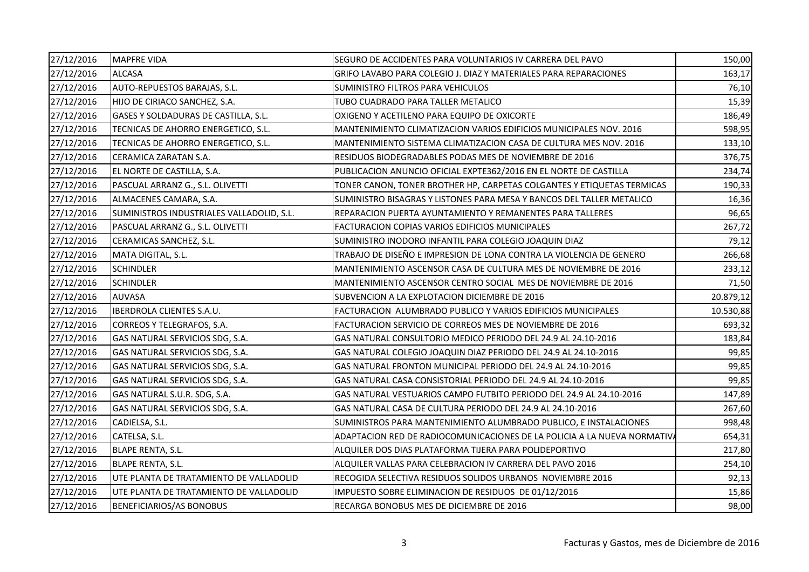| 27/12/2016 | <b>MAPFRE VIDA</b>                        | SEGURO DE ACCIDENTES PARA VOLUNTARIOS IV CARRERA DEL PAVO                | 150,00    |
|------------|-------------------------------------------|--------------------------------------------------------------------------|-----------|
| 27/12/2016 | <b>ALCASA</b>                             | GRIFO LAVABO PARA COLEGIO J. DIAZ Y MATERIALES PARA REPARACIONES         | 163,17    |
| 27/12/2016 | AUTO-REPUESTOS BARAJAS, S.L.              | SUMINISTRO FILTROS PARA VEHICULOS                                        | 76,10     |
| 27/12/2016 | HIJO DE CIRIACO SANCHEZ, S.A.             | TUBO CUADRADO PARA TALLER METALICO                                       | 15,39     |
| 27/12/2016 | GASES Y SOLDADURAS DE CASTILLA, S.L.      | OXIGENO Y ACETILENO PARA EQUIPO DE OXICORTE                              | 186,49    |
| 27/12/2016 | TECNICAS DE AHORRO ENERGETICO, S.L.       | MANTENIMIENTO CLIMATIZACION VARIOS EDIFICIOS MUNICIPALES NOV. 2016       | 598,95    |
| 27/12/2016 | TECNICAS DE AHORRO ENERGETICO, S.L.       | MANTENIMIENTO SISTEMA CLIMATIZACION CASA DE CULTURA MES NOV. 2016        | 133,10    |
| 27/12/2016 | CERAMICA ZARATAN S.A.                     | RESIDUOS BIODEGRADABLES PODAS MES DE NOVIEMBRE DE 2016                   | 376,75    |
| 27/12/2016 | EL NORTE DE CASTILLA, S.A.                | PUBLICACION ANUNCIO OFICIAL EXPTE362/2016 EN EL NORTE DE CASTILLA        | 234,74    |
| 27/12/2016 | PASCUAL ARRANZ G., S.L. OLIVETTI          | TONER CANON, TONER BROTHER HP, CARPETAS COLGANTES Y ETIQUETAS TERMICAS   | 190,33    |
| 27/12/2016 | ALMACENES CAMARA, S.A.                    | SUMINISTRO BISAGRAS Y LISTONES PARA MESA Y BANCOS DEL TALLER METALICO    | 16,36     |
| 27/12/2016 | SUMINISTROS INDUSTRIALES VALLADOLID, S.L. | REPARACION PUERTA AYUNTAMIENTO Y REMANENTES PARA TALLERES                | 96,65     |
| 27/12/2016 | PASCUAL ARRANZ G., S.L. OLIVETTI          | FACTURACION COPIAS VARIOS EDIFICIOS MUNICIPALES                          | 267,72    |
| 27/12/2016 | CERAMICAS SANCHEZ, S.L.                   | SUMINISTRO INODORO INFANTIL PARA COLEGIO JOAQUIN DIAZ                    | 79,12     |
| 27/12/2016 | MATA DIGITAL, S.L.                        | TRABAJO DE DISEÑO E IMPRESION DE LONA CONTRA LA VIOLENCIA DE GENERO      | 266,68    |
| 27/12/2016 | <b>SCHINDLER</b>                          | MANTENIMIENTO ASCENSOR CASA DE CULTURA MES DE NOVIEMBRE DE 2016          | 233,12    |
| 27/12/2016 | <b>SCHINDLER</b>                          | MANTENIMIENTO ASCENSOR CENTRO SOCIAL MES DE NOVIEMBRE DE 2016            | 71,50     |
| 27/12/2016 | <b>AUVASA</b>                             | SUBVENCION A LA EXPLOTACION DICIEMBRE DE 2016                            | 20.879,12 |
| 27/12/2016 | IBERDROLA CLIENTES S.A.U.                 | FACTURACION ALUMBRADO PUBLICO Y VARIOS EDIFICIOS MUNICIPALES             | 10.530,88 |
| 27/12/2016 | CORREOS Y TELEGRAFOS, S.A.                | FACTURACION SERVICIO DE CORREOS MES DE NOVIEMBRE DE 2016                 | 693,32    |
| 27/12/2016 | GAS NATURAL SERVICIOS SDG, S.A.           | GAS NATURAL CONSULTORIO MEDICO PERIODO DEL 24.9 AL 24.10-2016            | 183,84    |
| 27/12/2016 | GAS NATURAL SERVICIOS SDG, S.A.           | GAS NATURAL COLEGIO JOAQUIN DIAZ PERIODO DEL 24.9 AL 24.10-2016          | 99,85     |
| 27/12/2016 | GAS NATURAL SERVICIOS SDG, S.A.           | GAS NATURAL FRONTON MUNICIPAL PERIODO DEL 24.9 AL 24.10-2016             | 99,85     |
| 27/12/2016 | GAS NATURAL SERVICIOS SDG, S.A.           | GAS NATURAL CASA CONSISTORIAL PERIODO DEL 24.9 AL 24.10-2016             | 99,85     |
| 27/12/2016 | GAS NATURAL S.U.R. SDG, S.A.              | GAS NATURAL VESTUARIOS CAMPO FUTBITO PERIODO DEL 24.9 AL 24.10-2016      | 147,89    |
| 27/12/2016 | GAS NATURAL SERVICIOS SDG, S.A.           | GAS NATURAL CASA DE CULTURA PERIODO DEL 24.9 AL 24.10-2016               | 267,60    |
| 27/12/2016 | CADIELSA, S.L.                            | SUMINISTROS PARA MANTENIMIENTO ALUMBRADO PUBLICO, E INSTALACIONES        | 998,48    |
| 27/12/2016 | CATELSA, S.L.                             | ADAPTACION RED DE RADIOCOMUNICACIONES DE LA POLICIA A LA NUEVA NORMATIVA | 654,31    |
| 27/12/2016 | BLAPE RENTA, S.L.                         | ALQUILER DOS DIAS PLATAFORMA TIJERA PARA POLIDEPORTIVO                   | 217,80    |
| 27/12/2016 | <b>BLAPE RENTA, S.L.</b>                  | ALQUILER VALLAS PARA CELEBRACION IV CARRERA DEL PAVO 2016                | 254,10    |
| 27/12/2016 | UTE PLANTA DE TRATAMIENTO DE VALLADOLID   | RECOGIDA SELECTIVA RESIDUOS SOLIDOS URBANOS NOVIEMBRE 2016               | 92,13     |
| 27/12/2016 | UTE PLANTA DE TRATAMIENTO DE VALLADOLID   | IMPUESTO SOBRE ELIMINACION DE RESIDUOS DE 01/12/2016                     | 15,86     |
| 27/12/2016 | BENEFICIARIOS/AS BONOBUS                  | RECARGA BONOBUS MES DE DICIEMBRE DE 2016                                 | 98,00     |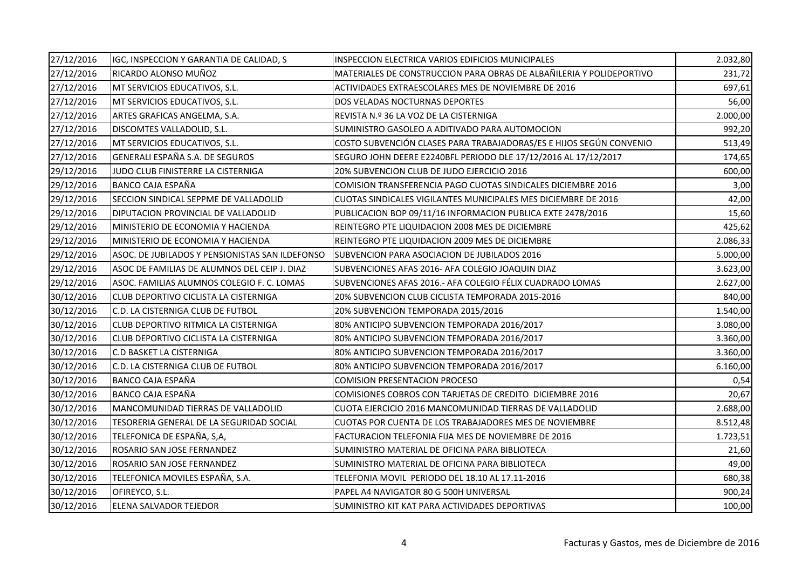| 27/12/2016 | IGC, INSPECCION Y GARANTIA DE CALIDAD, S        | INSPECCION ELECTRICA VARIOS EDIFICIOS MUNICIPALES                    | 2.032,80 |
|------------|-------------------------------------------------|----------------------------------------------------------------------|----------|
| 27/12/2016 | RICARDO ALONSO MUÑOZ                            | MATERIALES DE CONSTRUCCION PARA OBRAS DE ALBAÑILERIA Y POLIDEPORTIVO | 231,72   |
| 27/12/2016 | MT SERVICIOS EDUCATIVOS, S.L.                   | ACTIVIDADES EXTRAESCOLARES MES DE NOVIEMBRE DE 2016                  | 697,61   |
| 27/12/2016 | MT SERVICIOS EDUCATIVOS, S.L.                   | DOS VELADAS NOCTURNAS DEPORTES                                       | 56,00    |
| 27/12/2016 | ARTES GRAFICAS ANGELMA, S.A.                    | REVISTA N.º 36 LA VOZ DE LA CISTERNIGA                               | 2.000,00 |
| 27/12/2016 | DISCOMTES VALLADOLID, S.L.                      | SUMINISTRO GASOLEO A ADITIVADO PARA AUTOMOCION                       | 992,20   |
| 27/12/2016 | MT SERVICIOS EDUCATIVOS, S.L.                   | COSTO SUBVENCIÓN CLASES PARA TRABAJADORAS/ES E HIJOS SEGÚN CONVENIO  | 513,49   |
| 27/12/2016 | GENERALI ESPAÑA S.A. DE SEGUROS                 | SEGURO JOHN DEERE E2240BFL PERIODO DLE 17/12/2016 AL 17/12/2017      | 174,65   |
| 29/12/2016 | JUDO CLUB FINISTERRE LA CISTERNIGA              | 20% SUBVENCION CLUB DE JUDO EJERCICIO 2016                           | 600,00   |
| 29/12/2016 | BANCO CAJA ESPAÑA                               | COMISION TRANSFERENCIA PAGO CUOTAS SINDICALES DICIEMBRE 2016         | 3,00     |
| 29/12/2016 | SECCION SINDICAL SEPPME DE VALLADOLID           | CUOTAS SINDICALES VIGILANTES MUNICIPALES MES DICIEMBRE DE 2016       | 42,00    |
| 29/12/2016 | DIPUTACION PROVINCIAL DE VALLADOLID             | PUBLICACION BOP 09/11/16 INFORMACION PUBLICA EXTE 2478/2016          | 15,60    |
| 29/12/2016 | MINISTERIO DE ECONOMIA Y HACIENDA               | REINTEGRO PTE LIQUIDACION 2008 MES DE DICIEMBRE                      | 425,62   |
| 29/12/2016 | MINISTERIO DE ECONOMIA Y HACIENDA               | REINTEGRO PTE LIQUIDACION 2009 MES DE DICIEMBRE                      | 2.086,33 |
| 29/12/2016 | ASOC. DE JUBILADOS Y PENSIONISTAS SAN ILDEFONSO | SUBVENCION PARA ASOCIACION DE JUBILADOS 2016                         | 5.000,00 |
| 29/12/2016 | ASOC DE FAMILIAS DE ALUMNOS DEL CEIP J. DIAZ    | SUBVENCIONES AFAS 2016- AFA COLEGIO JOAQUIN DIAZ                     | 3.623,00 |
| 29/12/2016 | ASOC. FAMILIAS ALUMNOS COLEGIO F. C. LOMAS      | SUBVENCIONES AFAS 2016.- AFA COLEGIO FÉLIX CUADRADO LOMAS            | 2.627,00 |
| 30/12/2016 | CLUB DEPORTIVO CICLISTA LA CISTERNIGA           | 20% SUBVENCION CLUB CICLISTA TEMPORADA 2015-2016                     | 840,00   |
| 30/12/2016 | C.D. LA CISTERNIGA CLUB DE FUTBOL               | 20% SUBVENCION TEMPORADA 2015/2016                                   | 1.540,00 |
| 30/12/2016 | CLUB DEPORTIVO RITMICA LA CISTERNIGA            | 80% ANTICIPO SUBVENCION TEMPORADA 2016/2017                          | 3.080,00 |
| 30/12/2016 | CLUB DEPORTIVO CICLISTA LA CISTERNIGA           | 80% ANTICIPO SUBVENCION TEMPORADA 2016/2017                          | 3.360,00 |
| 30/12/2016 | <b>C.D BASKET LA CISTERNIGA</b>                 | 80% ANTICIPO SUBVENCION TEMPORADA 2016/2017                          | 3.360,00 |
| 30/12/2016 | C.D. LA CISTERNIGA CLUB DE FUTBOL               | 80% ANTICIPO SUBVENCION TEMPORADA 2016/2017                          | 6.160,00 |
| 30/12/2016 | BANCO CAJA ESPAÑA                               | <b>COMISION PRESENTACION PROCESO</b>                                 | 0,54     |
| 30/12/2016 | BANCO CAJA ESPAÑA                               | COMISIONES COBROS CON TARJETAS DE CREDITO DICIEMBRE 2016             | 20,67    |
| 30/12/2016 | MANCOMUNIDAD TIERRAS DE VALLADOLID              | CUOTA EJERCICIO 2016 MANCOMUNIDAD TIERRAS DE VALLADOLID              | 2.688,00 |
| 30/12/2016 | TESORERIA GENERAL DE LA SEGURIDAD SOCIAL        | CUOTAS POR CUENTA DE LOS TRABAJADORES MES DE NOVIEMBRE               | 8.512,48 |
| 30/12/2016 | TELEFONICA DE ESPAÑA, S,A,                      | FACTURACION TELEFONIA FIJA MES DE NOVIEMBRE DE 2016                  | 1.723,51 |
| 30/12/2016 | ROSARIO SAN JOSE FERNANDEZ                      | SUMINISTRO MATERIAL DE OFICINA PARA BIBLIOTECA                       | 21,60    |
| 30/12/2016 | ROSARIO SAN JOSE FERNANDEZ                      | SUMINISTRO MATERIAL DE OFICINA PARA BIBLIOTECA                       | 49,00    |
| 30/12/2016 | TELEFONICA MOVILES ESPAÑA, S.A.                 | TELEFONIA MOVIL PERIODO DEL 18.10 AL 17.11-2016                      | 680,38   |
| 30/12/2016 | OFIREYCO, S.L.                                  | PAPEL A4 NAVIGATOR 80 G 500H UNIVERSAL                               | 900,24   |
| 30/12/2016 | ELENA SALVADOR TEJEDOR                          | SUMINISTRO KIT KAT PARA ACTIVIDADES DEPORTIVAS                       | 100,00   |